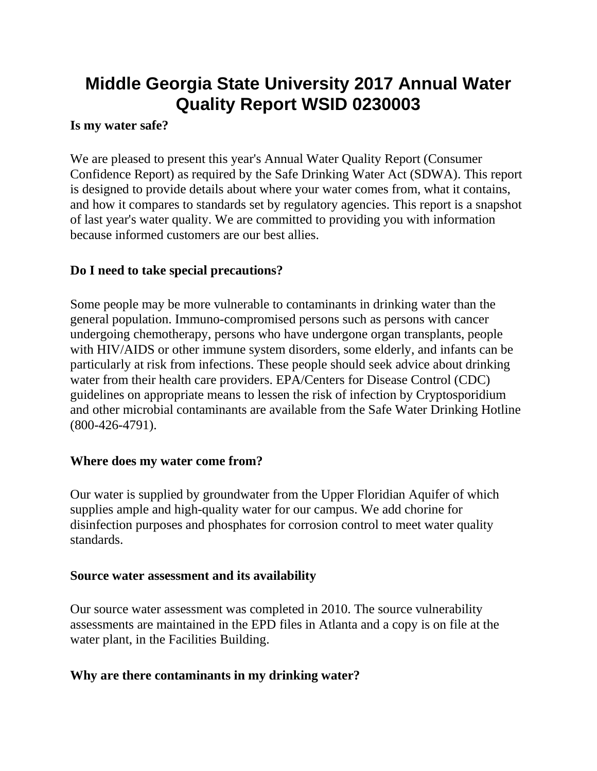# **Middle Georgia State University 2017 Annual Water Quality Report WSID 0230003**

#### **Is my water safe?**

We are pleased to present this year's Annual Water Quality Report (Consumer Confidence Report) as required by the Safe Drinking Water Act (SDWA). This report is designed to provide details about where your water comes from, what it contains, and how it compares to standards set by regulatory agencies. This report is a snapshot of last year's water quality. We are committed to providing you with information because informed customers are our best allies.

### **Do I need to take special precautions?**

Some people may be more vulnerable to contaminants in drinking water than the general population. Immuno-compromised persons such as persons with cancer undergoing chemotherapy, persons who have undergone organ transplants, people with HIV/AIDS or other immune system disorders, some elderly, and infants can be particularly at risk from infections. These people should seek advice about drinking water from their health care providers. EPA/Centers for Disease Control (CDC) guidelines on appropriate means to lessen the risk of infection by Cryptosporidium and other microbial contaminants are available from the Safe Water Drinking Hotline (800-426-4791).

### **Where does my water come from?**

Our water is supplied by groundwater from the Upper Floridian Aquifer of which supplies ample and high-quality water for our campus. We add chorine for disinfection purposes and phosphates for corrosion control to meet water quality standards.

### **Source water assessment and its availability**

Our source water assessment was completed in 2010. The source vulnerability assessments are maintained in the EPD files in Atlanta and a copy is on file at the water plant, in the Facilities Building.

### **Why are there contaminants in my drinking water?**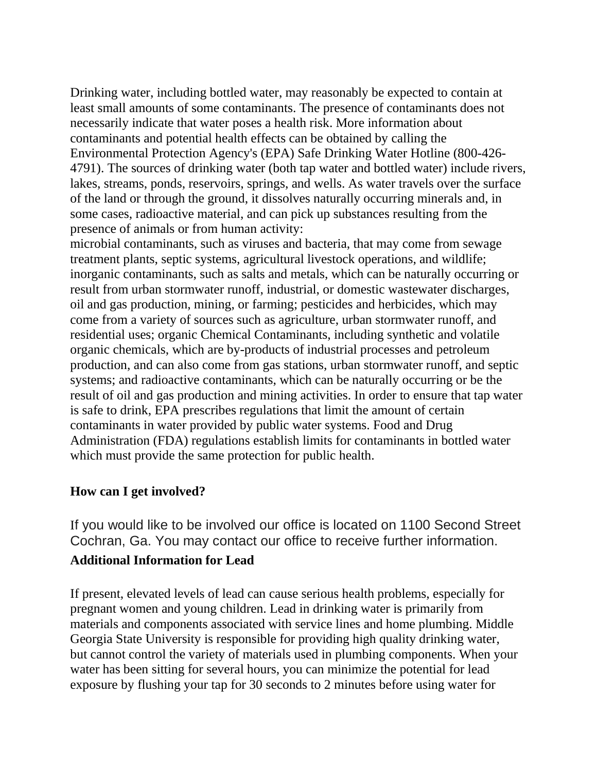Drinking water, including bottled water, may reasonably be expected to contain at least small amounts of some contaminants. The presence of contaminants does not necessarily indicate that water poses a health risk. More information about contaminants and potential health effects can be obtained by calling the Environmental Protection Agency's (EPA) Safe Drinking Water Hotline (800-426- 4791). The sources of drinking water (both tap water and bottled water) include rivers, lakes, streams, ponds, reservoirs, springs, and wells. As water travels over the surface of the land or through the ground, it dissolves naturally occurring minerals and, in some cases, radioactive material, and can pick up substances resulting from the presence of animals or from human activity:

microbial contaminants, such as viruses and bacteria, that may come from sewage treatment plants, septic systems, agricultural livestock operations, and wildlife; inorganic contaminants, such as salts and metals, which can be naturally occurring or result from urban stormwater runoff, industrial, or domestic wastewater discharges, oil and gas production, mining, or farming; pesticides and herbicides, which may come from a variety of sources such as agriculture, urban stormwater runoff, and residential uses; organic Chemical Contaminants, including synthetic and volatile organic chemicals, which are by-products of industrial processes and petroleum production, and can also come from gas stations, urban stormwater runoff, and septic systems; and radioactive contaminants, which can be naturally occurring or be the result of oil and gas production and mining activities. In order to ensure that tap water is safe to drink, EPA prescribes regulations that limit the amount of certain contaminants in water provided by public water systems. Food and Drug Administration (FDA) regulations establish limits for contaminants in bottled water which must provide the same protection for public health.

### **How can I get involved?**

If you would like to be involved our office is located on 1100 Second Street Cochran, Ga. You may contact our office to receive further information.

### **Additional Information for Lead**

If present, elevated levels of lead can cause serious health problems, especially for pregnant women and young children. Lead in drinking water is primarily from materials and components associated with service lines and home plumbing. Middle Georgia State University is responsible for providing high quality drinking water, but cannot control the variety of materials used in plumbing components. When your water has been sitting for several hours, you can minimize the potential for lead exposure by flushing your tap for 30 seconds to 2 minutes before using water for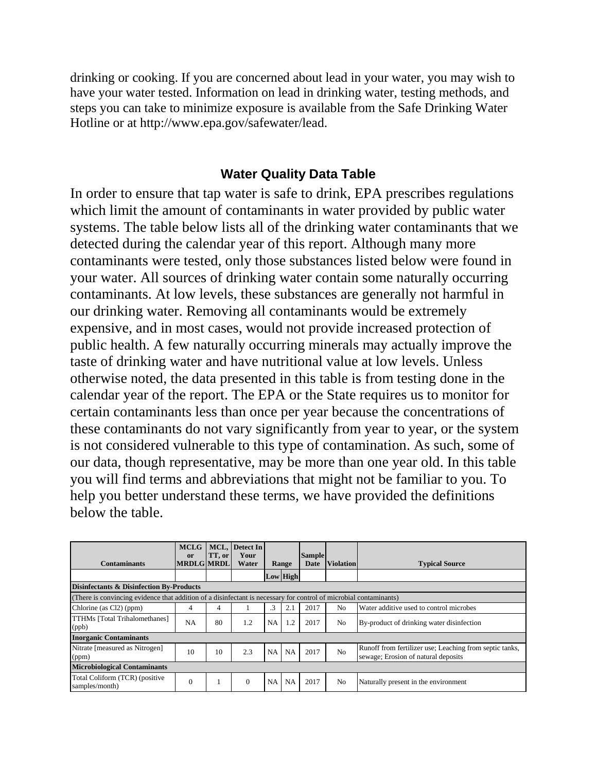drinking or cooking. If you are concerned about lead in your water, you may wish to have your water tested. Information on lead in drinking water, testing methods, and steps you can take to minimize exposure is available from the Safe Drinking Water Hotline or at http://www.epa.gov/safewater/lead.

## **Water Quality Data Table**

In order to ensure that tap water is safe to drink, EPA prescribes regulations which limit the amount of contaminants in water provided by public water systems. The table below lists all of the drinking water contaminants that we detected during the calendar year of this report. Although many more contaminants were tested, only those substances listed below were found in your water. All sources of drinking water contain some naturally occurring contaminants. At low levels, these substances are generally not harmful in our drinking water. Removing all contaminants would be extremely expensive, and in most cases, would not provide increased protection of public health. A few naturally occurring minerals may actually improve the taste of drinking water and have nutritional value at low levels. Unless otherwise noted, the data presented in this table is from testing done in the calendar year of the report. The EPA or the State requires us to monitor for certain contaminants less than once per year because the concentrations of these contaminants do not vary significantly from year to year, or the system is not considered vulnerable to this type of contamination. As such, some of our data, though representative, may be more than one year old. In this table you will find terms and abbreviations that might not be familiar to you. To help you better understand these terms, we have provided the definitions below the table.

| <b>Contaminants</b>                                                                                               | <b>MCLG</b><br>or<br><b>MRDLG MRDL</b> | TT, or | MCL, Detect In<br>Your<br>Water | Range     |                 | <b>Sample</b><br>Date | <b>Violation</b> | <b>Typical Source</b>                                                                          |
|-------------------------------------------------------------------------------------------------------------------|----------------------------------------|--------|---------------------------------|-----------|-----------------|-----------------------|------------------|------------------------------------------------------------------------------------------------|
|                                                                                                                   |                                        |        |                                 |           | <b>Low High</b> |                       |                  |                                                                                                |
| <b>Disinfectants &amp; Disinfection By-Products</b>                                                               |                                        |        |                                 |           |                 |                       |                  |                                                                                                |
| (There is convincing evidence that addition of a disinfectant is necessary for control of microbial contaminants) |                                        |        |                                 |           |                 |                       |                  |                                                                                                |
| Chlorine (as Cl2) (ppm)                                                                                           | 4                                      | 4      |                                 | $\cdot$ 3 | 2.1             | 2017                  | No               | Water additive used to control microbes                                                        |
| TTHMs [Total Trihalomethanes]<br>(ppb)                                                                            | NA                                     | 80     | 1.2                             | NA        | 1.2             | 2017                  | N <sub>o</sub>   | By-product of drinking water disinfection                                                      |
| <b>Inorganic Contaminants</b>                                                                                     |                                        |        |                                 |           |                 |                       |                  |                                                                                                |
| Nitrate [measured as Nitrogen]<br>(ppm)                                                                           | 10                                     | 10     | 2.3                             | NA        | NA              | 2017                  | No               | Runoff from fertilizer use; Leaching from septic tanks,<br>sewage; Erosion of natural deposits |
| <b>Microbiological Contaminants</b>                                                                               |                                        |        |                                 |           |                 |                       |                  |                                                                                                |
| Total Coliform (TCR) (positive<br>samples/month)                                                                  | $\Omega$                               |        | $\Omega$                        | <b>NA</b> | NA              | 2017                  | N <sub>o</sub>   | Naturally present in the environment                                                           |